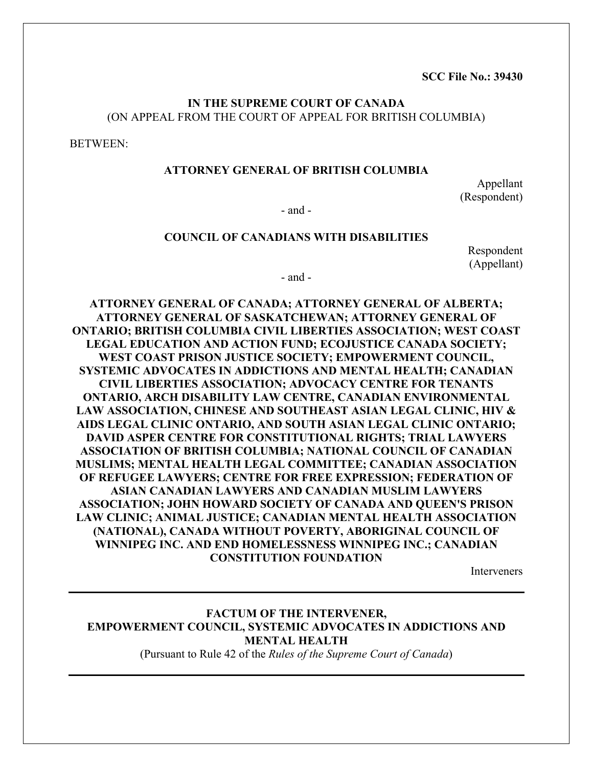**SCC File No.: 39430**

#### **IN THE SUPREME COURT OF CANADA** (ON APPEAL FROM THE COURT OF APPEAL FOR BRITISH COLUMBIA)

BETWEEN:

#### **ATTORNEY GENERAL OF BRITISH COLUMBIA**

Appellant (Respondent)

- and -

#### **COUNCIL OF CANADIANS WITH DISABILITIES**

Respondent (Appellant)

- and -

**ATTORNEY GENERAL OF CANADA; ATTORNEY GENERAL OF ALBERTA; ATTORNEY GENERAL OF SASKATCHEWAN; ATTORNEY GENERAL OF ONTARIO; BRITISH COLUMBIA CIVIL LIBERTIES ASSOCIATION; WEST COAST LEGAL EDUCATION AND ACTION FUND; ECOJUSTICE CANADA SOCIETY; WEST COAST PRISON JUSTICE SOCIETY; EMPOWERMENT COUNCIL, SYSTEMIC ADVOCATES IN ADDICTIONS AND MENTAL HEALTH; CANADIAN CIVIL LIBERTIES ASSOCIATION; ADVOCACY CENTRE FOR TENANTS ONTARIO, ARCH DISABILITY LAW CENTRE, CANADIAN ENVIRONMENTAL LAW ASSOCIATION, CHINESE AND SOUTHEAST ASIAN LEGAL CLINIC, HIV & AIDS LEGAL CLINIC ONTARIO, AND SOUTH ASIAN LEGAL CLINIC ONTARIO; DAVID ASPER CENTRE FOR CONSTITUTIONAL RIGHTS; TRIAL LAWYERS ASSOCIATION OF BRITISH COLUMBIA; NATIONAL COUNCIL OF CANADIAN MUSLIMS; MENTAL HEALTH LEGAL COMMITTEE; CANADIAN ASSOCIATION OF REFUGEE LAWYERS; CENTRE FOR FREE EXPRESSION; FEDERATION OF ASIAN CANADIAN LAWYERS AND CANADIAN MUSLIM LAWYERS ASSOCIATION; JOHN HOWARD SOCIETY OF CANADA AND QUEEN'S PRISON LAW CLINIC; ANIMAL JUSTICE; CANADIAN MENTAL HEALTH ASSOCIATION (NATIONAL), CANADA WITHOUT POVERTY, ABORIGINAL COUNCIL OF WINNIPEG INC. AND END HOMELESSNESS WINNIPEG INC.; CANADIAN CONSTITUTION FOUNDATION**

Interveners

# **FACTUM OF THE INTERVENER, EMPOWERMENT COUNCIL, SYSTEMIC ADVOCATES IN ADDICTIONS AND MENTAL HEALTH**

(Pursuant to Rule 42 of the *Rules of the Supreme Court of Canada*)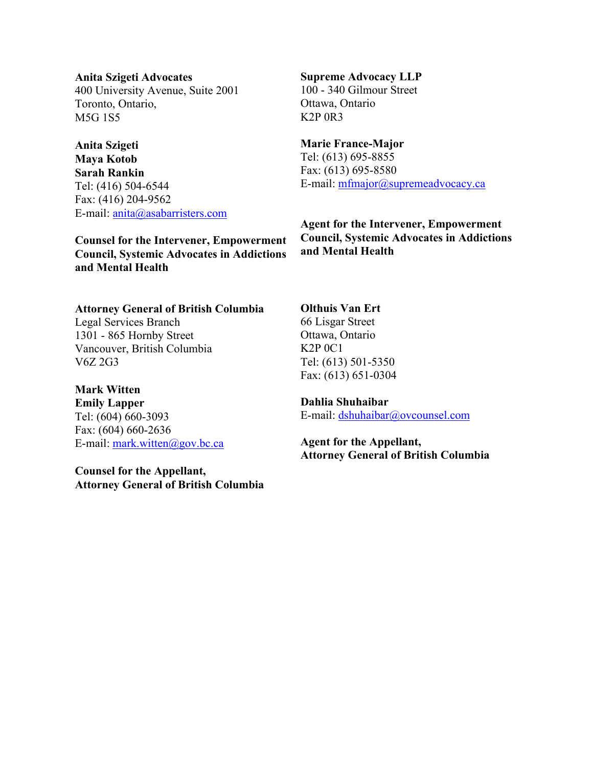**Anita Szigeti Advocates** 400 University Avenue, Suite 2001 Toronto, Ontario, M5G 1S5

**Anita Szigeti Maya Kotob Sarah Rankin** Tel: (416) 504-6544 Fax: (416) 204-9562 E-mail: [anita@asabarristers.com](mailto:anita@asabarristers.com)

**Counsel for the Intervener, Empowerment Council, Systemic Advocates in Addictions and Mental Health**

#### **Supreme Advocacy LLP**  100 - 340 Gilmour Street

Ottawa, Ontario K2P 0R3

#### **Marie France-Major** Tel: (613) 695-8855

Fax: (613) 695-8580 E-mail: [mfmajor@supremeadvocacy.ca](mailto:mfmajor@supremeadvocacy.ca) 

**Agent for the Intervener, Empowerment Council, Systemic Advocates in Addictions and Mental Health**

#### **Attorney General of British Columbia**

Legal Services Branch 1301 - 865 Hornby Street Vancouver, British Columbia V6Z 2G3

**Mark Witten Emily Lapper** Tel: (604) 660-3093 Fax: (604) 660-2636 E-mail: [mark.witten@gov.bc.ca](mailto:mark.witten@gov.bc.ca)

**Counsel for the Appellant, Attorney General of British Columbia**

#### **Olthuis Van Ert**

66 Lisgar Street Ottawa, Ontario K2P 0C1 Tel: (613) 501-5350 Fax: (613) 651-0304

**Dahlia Shuhaibar** E-mail: [dshuhaibar@ovcounsel.com](mailto:dshuhaibar@ovcounsel.com)

**Agent for the Appellant, Attorney General of British Columbia**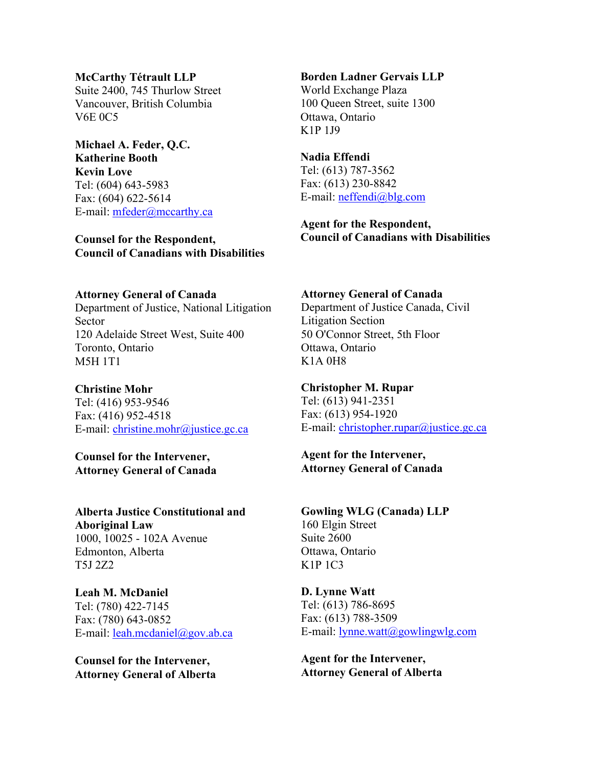#### **McCarthy Tétrault LLP** Suite 2400, 745 Thurlow Street Vancouver, British Columbia V6E 0C5

#### **Michael A. Feder, Q.C. Katherine Booth Kevin Love**

Tel: (604) 643-5983 Fax: (604) 622-5614 E-mail: [mfeder@mccarthy.ca](mailto:mfeder@mccarthy.ca)

**Counsel for the Respondent, Council of Canadians with Disabilities**

#### **Borden Ladner Gervais LLP** World Exchange Plaza 100 Queen Street, suite 1300 Ottawa, Ontario K1P 1J9

#### **Nadia Effendi** Tel: (613) 787-3562

Fax: (613) 230-8842 E-mail: [neffendi@blg.com](mailto:neffendi@blg.com)

# **Agent for the Respondent, Council of Canadians with Disabilities**

## **Attorney General of Canada**

Department of Justice, National Litigation Sector 120 Adelaide Street West, Suite 400 Toronto, Ontario M5H 1T1

## **Christine Mohr**

Tel: (416) 953-9546 Fax: (416) 952-4518 E-mail: [christine.mohr@justice.gc.ca](mailto:christine.mohr@justice.gc.ca)

**Counsel for the Intervener, Attorney General of Canada**

**Alberta Justice Constitutional and Aboriginal Law** 1000, 10025 - 102A Avenue Edmonton, Alberta T5J 2Z2

**Leah M. McDaniel** Tel: (780) 422-7145 Fax: (780) 643-0852 E-mail: [leah.mcdaniel@gov.ab.ca](mailto:leah.mcdaniel@gov.ab.ca)

**Counsel for the Intervener, Attorney General of Alberta**

#### **Attorney General of Canada**

Department of Justice Canada, Civil Litigation Section 50 O'Connor Street, 5th Floor Ottawa, Ontario K1A 0H8

# **Christopher M. Rupar**

Tel: (613) 941-2351 Fax: (613) 954-1920 E-mail: [christopher.rupar@justice.gc.ca](mailto:christopher.rupar@justice.gc.ca)

# **Agent for the Intervener, Attorney General of Canada**

# **Gowling WLG (Canada) LLP** 160 Elgin Street Suite 2600 Ottawa, Ontario K1P 1C3

**D. Lynne Watt** Tel: (613) 786-8695 Fax: (613) 788-3509 E-mail: [lynne.watt@gowlingwlg.com](mailto:lynne.watt@gowlingwlg.com)

**Agent for the Intervener, Attorney General of Alberta**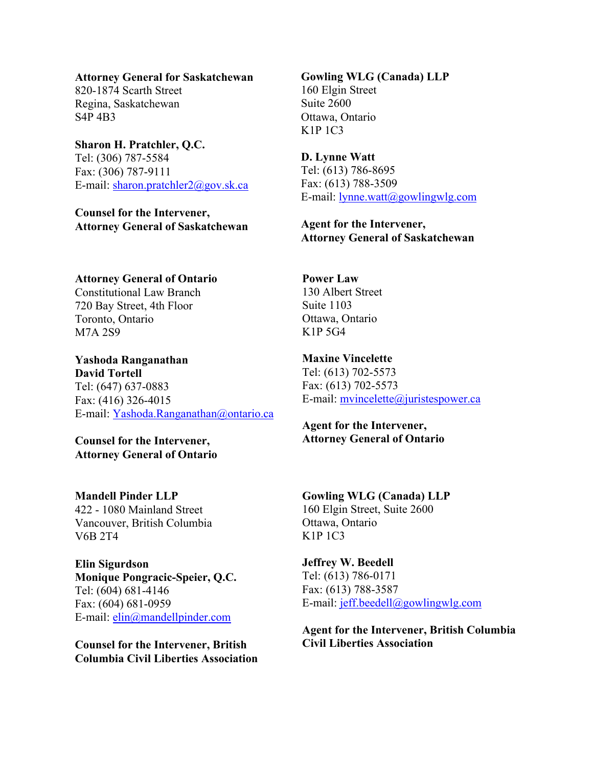**Attorney General for Saskatchewan** 820-1874 Scarth Street Regina, Saskatchewan S4P 4B3

**Sharon H. Pratchler, Q.C.** Tel: (306) 787-5584 Fax: (306) 787-9111 E-mail: [sharon.pratchler2@gov.sk.ca](mailto:sharon.pratchler2@gov.sk.ca)

**Counsel for the Intervener, Attorney General of Saskatchewan**

**Gowling WLG (Canada) LLP** 160 Elgin Street Suite 2600 Ottawa, Ontario K1P 1C3

**D. Lynne Watt** Tel: (613) 786-8695 Fax: (613) 788-3509 E-mail:  $l$ ynne.watt@gowlingwlg.com

**Agent for the Intervener, Attorney General of Saskatchewan**

#### **Attorney General of Ontario**

Constitutional Law Branch 720 Bay Street, 4th Floor Toronto, Ontario M7A 2S9

**Yashoda Ranganathan David Tortell** Tel: (647) 637-0883 Fax: (416) 326-4015 E-mail: [Yashoda.Ranganathan@ontario.ca](mailto:Yashoda.Ranganathan@ontario.ca)

**Counsel for the Intervener, Attorney General of Ontario**

**Mandell Pinder LLP** 422 - 1080 Mainland Street Vancouver, British Columbia V6B 2T4

**Elin Sigurdson Monique Pongracic-Speier, Q.C.** Tel: (604) 681-4146 Fax: (604) 681-0959 E-mail: [elin@mandellpinder.com](mailto:elin@mandellpinder.com)

**Counsel for the Intervener, British Columbia Civil Liberties Association**

**Power Law** 130 Albert Street Suite 1103 Ottawa, Ontario K1P 5G4

**Maxine Vincelette** Tel: (613) 702-5573 Fax: (613) 702-5573 E-mail: [mvincelette@juristespower.ca](mailto:mvincelette@juristespower.ca)

**Agent for the Intervener, Attorney General of Ontario**

**Gowling WLG (Canada) LLP** 160 Elgin Street, Suite 2600 Ottawa, Ontario K1P 1C3

**Jeffrey W. Beedell** Tel: (613) 786-0171 Fax: (613) 788-3587 E-mail: [jeff.beedell@gowlingwlg.com](mailto:jeff.beedell@gowlingwlg.com)

**Agent for the Intervener, British Columbia Civil Liberties Association**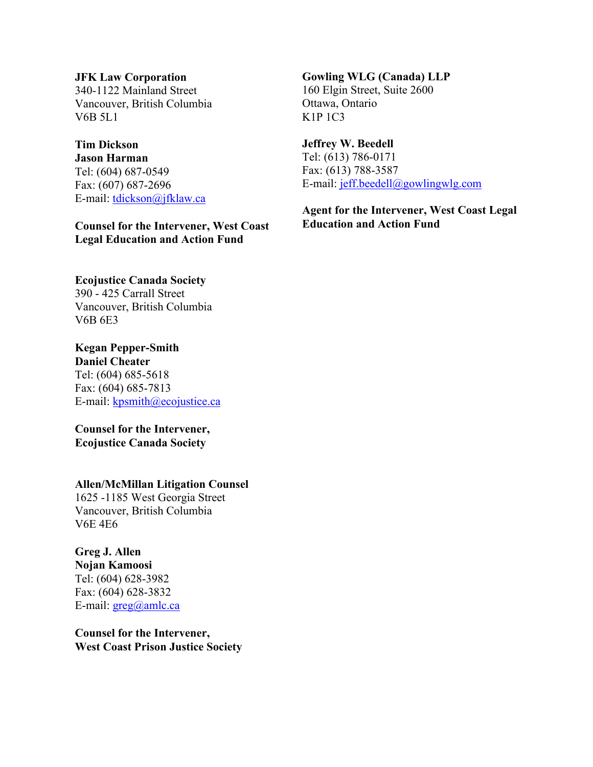**JFK Law Corporation** 340-1122 Mainland Street Vancouver, British Columbia V6B 5L1

#### **Tim Dickson Jason Harman**

Tel: (604) 687-0549 Fax: (607) 687-2696 E-mail: [tdickson@jfklaw.ca](mailto:tdickson@jfklaw.ca)

**Counsel for the Intervener, West Coast Legal Education and Action Fund**

**Ecojustice Canada Society** 390 - 425 Carrall Street Vancouver, British Columbia V6B 6E3

**Kegan Pepper-Smith Daniel Cheater** Tel: (604) 685-5618 Fax: (604) 685-7813 E-mail: [kpsmith@ecojustice.ca](mailto:kpsmith@ecojustice.ca)

**Counsel for the Intervener, Ecojustice Canada Society**

#### **Allen/McMillan Litigation Counsel**

1625 -1185 West Georgia Street Vancouver, British Columbia V6E 4E6

**Greg J. Allen Nojan Kamoosi** Tel: (604) 628-3982 Fax: (604) 628-3832 E-mail: [greg@amlc.ca](mailto:greg@amlc.ca)

**Counsel for the Intervener, West Coast Prison Justice Society**

**Gowling WLG (Canada) LLP** 160 Elgin Street, Suite 2600 Ottawa, Ontario K1P 1C3

**Jeffrey W. Beedell** Tel: (613) 786-0171 Fax: (613) 788-3587 E-mail: [jeff.beedell@gowlingwlg.com](mailto:jeff.beedell@gowlingwlg.com)

**Agent for the Intervener, West Coast Legal Education and Action Fund**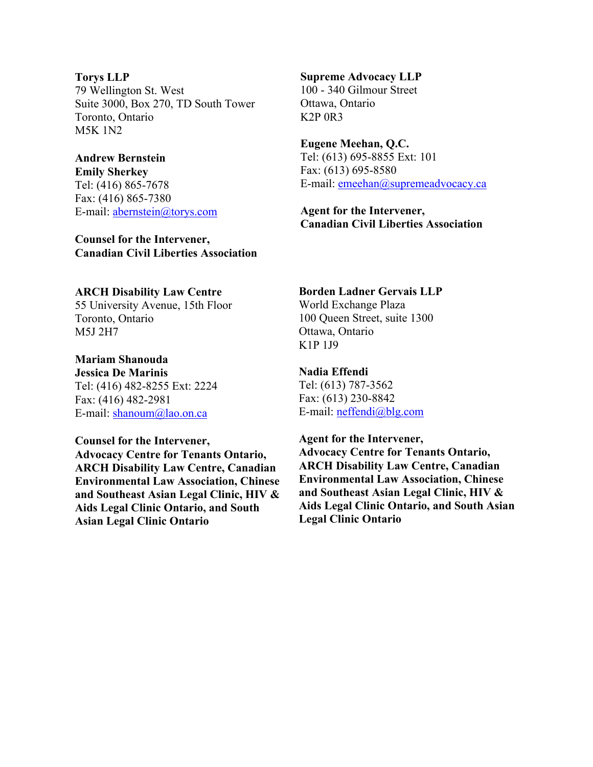**Torys LLP** 79 Wellington St. West Suite 3000, Box 270, TD South Tower Toronto, Ontario M5K 1N2

**Andrew Bernstein Emily Sherkey** Tel: (416) 865-7678 Fax: (416) 865-7380 E-mail: [abernstein@torys.com](mailto:abernstein@torys.com)

**Counsel for the Intervener, Canadian Civil Liberties Association**

#### **Supreme Advocacy LLP** 100 - 340 Gilmour Street Ottawa, Ontario K2P 0R3

**Eugene Meehan, Q.C.** Tel: (613) 695-8855 Ext: 101 Fax: (613) 695-8580 E-mail: [emeehan@supremeadvocacy.ca](mailto:emeehan@supremeadvocacy.ca)

**Agent for the Intervener, Canadian Civil Liberties Association**

#### **ARCH Disability Law Centre**

55 University Avenue, 15th Floor Toronto, Ontario M5J 2H7

#### **Mariam Shanouda**

**Jessica De Marinis** Tel: (416) 482-8255 Ext: 2224 Fax: (416) 482-2981 E-mail: [shanoum@lao.on.ca](mailto:shanoum@lao.on.ca)

#### **Counsel for the Intervener,**

**Advocacy Centre for Tenants Ontario, ARCH Disability Law Centre, Canadian Environmental Law Association, Chinese and Southeast Asian Legal Clinic, HIV & Aids Legal Clinic Ontario, and South Asian Legal Clinic Ontario**

## **Borden Ladner Gervais LLP**

World Exchange Plaza 100 Queen Street, suite 1300 Ottawa, Ontario K1P 1J9

#### **Nadia Effendi**

Tel: (613) 787-3562 Fax: (613) 230-8842 E-mail: [neffendi@blg.com](mailto:neffendi@blg.com)

#### **Agent for the Intervener,**

**Advocacy Centre for Tenants Ontario, ARCH Disability Law Centre, Canadian Environmental Law Association, Chinese and Southeast Asian Legal Clinic, HIV & Aids Legal Clinic Ontario, and South Asian Legal Clinic Ontario**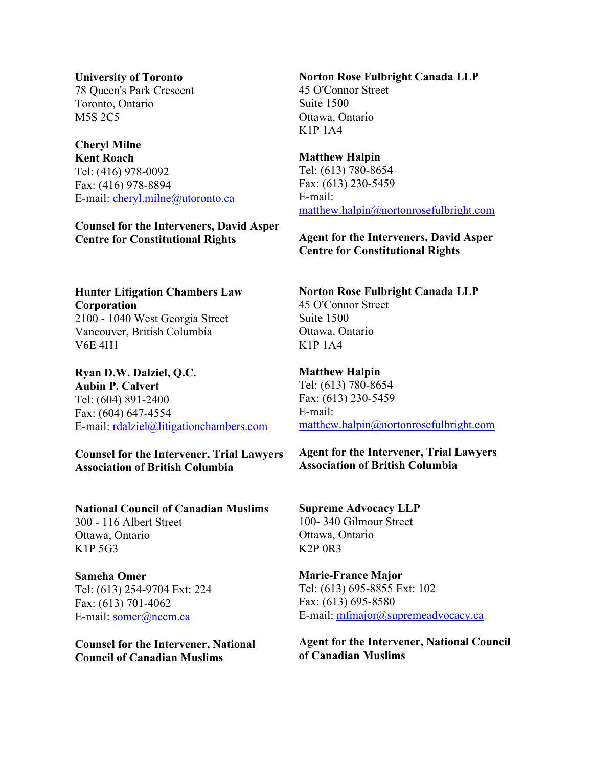**University of Toronto** 78 Queen's Park Crescent Toronto, Ontario M5S 2C5

#### **Cheryl Milne Kent Roach**

Tel: (416) 978-0092 Fax: (416) 978-8894 E-mail: [cheryl.milne@utoronto.ca](mailto:cheryl.milne@utoronto.ca)

**Counsel for the Interveners, David Asper Centre for Constitutional Rights**

# **Hunter Litigation Chambers Law Corporation** 2100 - 1040 West Georgia Street

Vancouver, British Columbia V6E 4H1

#### **Ryan D.W. Dalziel, Q.C. Aubin P. Calvert**

Tel: (604) 891-2400 Fax: (604) 647-4554 E-mail: [rdalziel@litigationchambers.com](mailto:rdalziel@litigationchambers.com)

#### **Counsel for the Intervener, Trial Lawyers Association of British Columbia**

**National Council of Canadian Muslims** 300 - 116 Albert Street Ottawa, Ontario K1P 5G3

**Sameha Omer** Tel: (613) 254-9704 Ext: 224 Fax: (613) 701-4062 E-mail: [somer@nccm.ca](mailto:somer@nccm.ca)

**Counsel for the Intervener, National Council of Canadian Muslims**

#### **Norton Rose Fulbright Canada LLP** 45 O'Connor Street Suite 1500 Ottawa, Ontario K1P 1A4

## **Matthew Halpin** Tel: (613) 780-8654 Fax: (613) 230-5459 E-mail: [matthew.halpin@nortonrosefulbright.com](mailto:matthew.halpin@nortonrosefulbright.com)

## **Agent for the Interveners, David Asper Centre for Constitutional Rights**

#### **Norton Rose Fulbright Canada LLP** 45 O'Connor Street Suite 1500 Ottawa, Ontario K1P 1A4

## **Matthew Halpin**

Tel: (613) 780-8654 Fax: (613) 230-5459 E-mail: [matthew.halpin@nortonrosefulbright.com](mailto:matthew.halpin@nortonrosefulbright.com)

# **Agent for the Intervener, Trial Lawyers Association of British Columbia**

**Supreme Advocacy LLP** 100- 340 Gilmour Street Ottawa, Ontario K2P 0R3

## **Marie-France Major** Tel: (613) 695-8855 Ext: 102 Fax: (613) 695-8580 E-mail: [mfmajor@supremeadvocacy.ca](mailto:mfmajor@supremeadvocacy.ca)

**Agent for the Intervener, National Council of Canadian Muslims**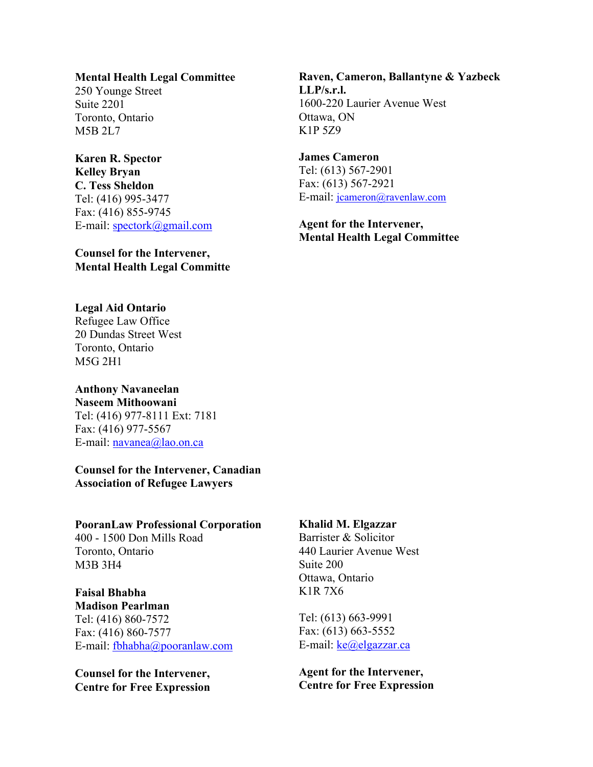#### **Mental Health Legal Committee**

250 Younge Street Suite 2201 Toronto, Ontario M5B 2L7

#### **Karen R. Spector Kelley Bryan C. Tess Sheldon** Tel: (416) 995-3477 Fax: (416) 855-9745 E-mail: [spectork@gmail.com](mailto:spectork@gmail.com)

**Counsel for the Intervener, Mental Health Legal Committe** **Raven, Cameron, Ballantyne & Yazbeck LLP/s.r.l.** 1600-220 Laurier Avenue West Ottawa, ON K1P 5Z9

#### **James Cameron** Tel: (613) 567-2901 Fax: (613) 567-2921 E-mail: [jcameron@ravenlaw.com](mailto:jcameron@ravenlaw.com)

**Agent for the Intervener, Mental Health Legal Committee**

#### **Legal Aid Ontario** Refugee Law Office 20 Dundas Street West Toronto, Ontario M5G 2H1

# **Anthony Navaneelan**

**Naseem Mithoowani** Tel: (416) 977-8111 Ext: 7181 Fax: (416) 977-5567 E-mail: [navanea@lao.on.ca](mailto:navanea@lao.on.ca)

**Counsel for the Intervener, Canadian Association of Refugee Lawyers**

#### **PooranLaw Professional Corporation**

400 - 1500 Don Mills Road Toronto, Ontario M3B 3H4

# **Faisal Bhabha**

**Madison Pearlman** Tel: (416) 860-7572 Fax: (416) 860-7577 E-mail: [fbhabha@pooranlaw.com](mailto:fbhabha@pooranlaw.com)

## **Counsel for the Intervener, Centre for Free Expression**

#### **Khalid M. Elgazzar**

Barrister & Solicitor 440 Laurier Avenue West Suite 200 Ottawa, Ontario K1R 7X6

Tel: (613) 663-9991 Fax: (613) 663-5552 E-mail: [ke@elgazzar.ca](mailto:ke@elgazzar.ca)

#### **Agent for the Intervener, Centre for Free Expression**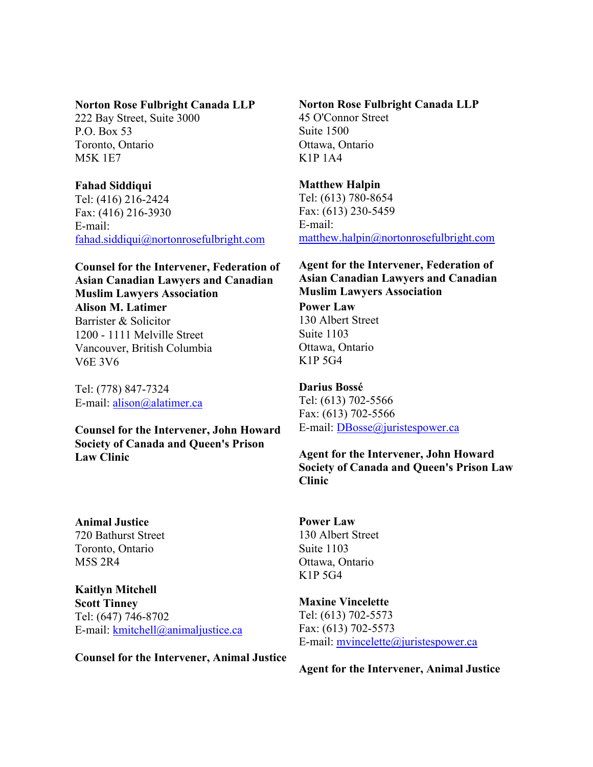#### **Norton Rose Fulbright Canada LLP**

222 Bay Street, Suite 3000 P.O. Box 53 Toronto, Ontario M5K 1E7

#### **Fahad Siddiqui**

Tel: (416) 216-2424 Fax: (416) 216-3930 E-mail: [fahad.siddiqui@nortonrosefulbright.com](mailto:fahad.siddiqui@nortonrosefulbright.com)

**Counsel for the Intervener, Federation of Asian Canadian Lawyers and Canadian Muslim Lawyers Association Alison M. Latimer** Barrister & Solicitor 1200 - 1111 Melville Street Vancouver, British Columbia V6E 3V6

Tel: (778) 847-7324 E-mail: [alison@alatimer.ca](mailto:alison@alatimer.ca)

**Counsel for the Intervener, John Howard Society of Canada and Queen's Prison Law Clinic**

# **Norton Rose Fulbright Canada LLP**

45 O'Connor Street Suite 1500 Ottawa, Ontario K1P 1A4

#### **Matthew Halpin**

Tel: (613) 780-8654 Fax: (613) 230-5459 E-mail: [matthew.halpin@nortonrosefulbright.com](mailto:matthew.halpin@nortonrosefulbright.com)

#### **Agent for the Intervener, Federation of Asian Canadian Lawyers and Canadian Muslim Lawyers Association**

**Power Law** 130 Albert Street Suite 1103 Ottawa, Ontario K1P 5G4

**Darius Bossé** Tel: (613) 702-5566 Fax: (613) 702-5566 E-mail: [DBosse@juristespower.ca](mailto:DBosse@juristespower.ca)

## **Agent for the Intervener, John Howard Society of Canada and Queen's Prison Law Clinic**

**Animal Justice** 720 Bathurst Street Toronto, Ontario M5S 2R4

**Kaitlyn Mitchell Scott Tinney** Tel: (647) 746-8702 E-mail: [kmitchell@animaljustice.ca](mailto:kmitchell@animaljustice.ca)

**Counsel for the Intervener, Animal Justice**

**Power Law** 130 Albert Street Suite 1103 Ottawa, Ontario K1P 5G4

# **Maxine Vincelette**

Tel: (613) 702-5573 Fax: (613) 702-5573 E-mail: [mvincelette@juristespower.ca](mailto:mvincelette@juristespower.ca)

**Agent for the Intervener, Animal Justice**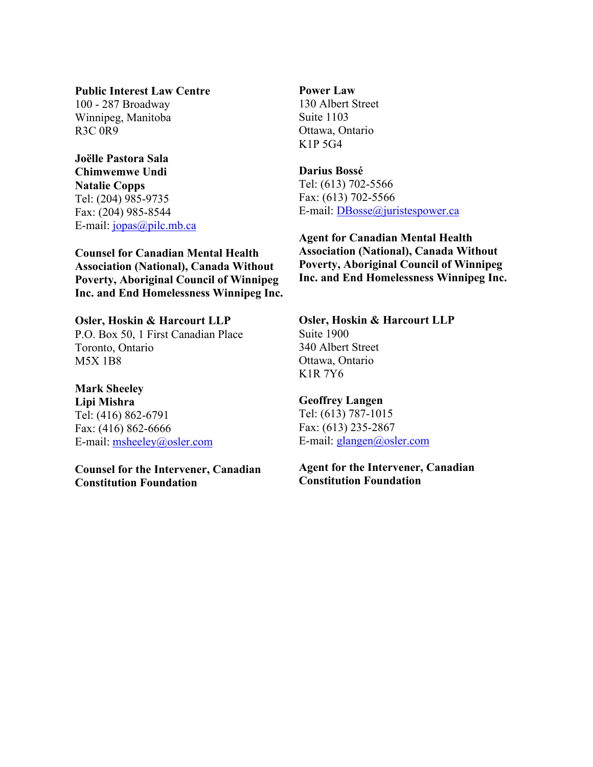**Public Interest Law Centre** 100 - 287 Broadway Winnipeg, Manitoba R3C 0R9

#### **Joëlle Pastora Sala Chimwemwe Undi Natalie Copps** Tel: (204) 985-9735 Fax: (204) 985-8544 E-mail: [jopas@pilc.mb.ca](mailto:jopas@pilc.mb.ca)

**Counsel for Canadian Mental Health Association (National), Canada Without Poverty, Aboriginal Council of Winnipeg Inc. and End Homelessness Winnipeg Inc.**

**Osler, Hoskin & Harcourt LLP** P.O. Box 50, 1 First Canadian Place Toronto, Ontario M5X 1B8

**Mark Sheeley Lipi Mishra** Tel: (416) 862-6791 Fax: (416) 862-6666 E-mail: [msheeley@osler.com](mailto:msheeley@osler.com)

**Counsel for the Intervener, Canadian Constitution Foundation**

#### **Power Law**

130 Albert Street Suite 1103 Ottawa, Ontario K1P 5G4

#### **Darius Bossé**

Tel: (613) 702-5566 Fax: (613) 702-5566 E-mail: [DBosse@juristespower.ca](mailto:DBosse@juristespower.ca)

**Agent for Canadian Mental Health Association (National), Canada Without Poverty, Aboriginal Council of Winnipeg Inc. and End Homelessness Winnipeg Inc.**

**Osler, Hoskin & Harcourt LLP** Suite 1900

340 Albert Street Ottawa, Ontario K1R 7Y6

#### **Geoffrey Langen**

Tel: (613) 787-1015 Fax: (613) 235-2867 E-mail: [glangen@osler.com](mailto:glangen@osler.com)

#### **Agent for the Intervener, Canadian Constitution Foundation**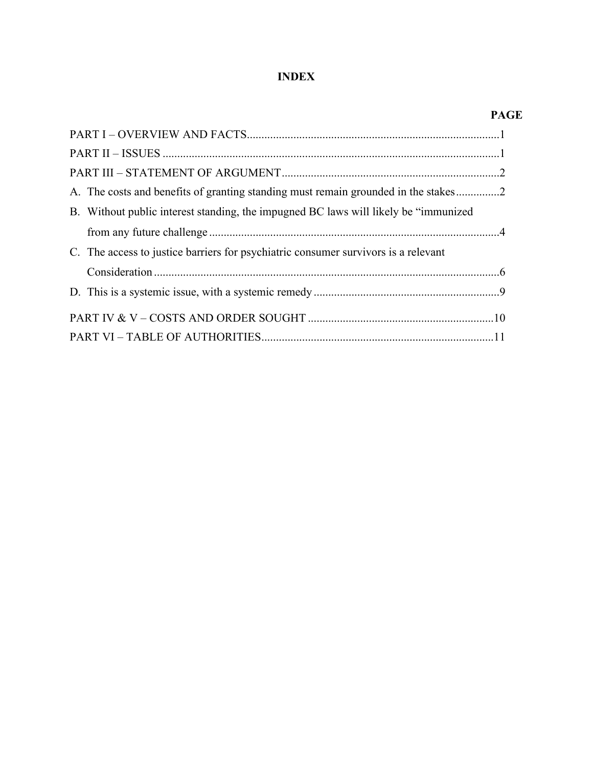# **INDEX**

| PAC                                                                                  |
|--------------------------------------------------------------------------------------|
|                                                                                      |
|                                                                                      |
|                                                                                      |
| A. The costs and benefits of granting standing must remain grounded in the stakes2   |
| B. Without public interest standing, the impugned BC laws will likely be "immunized" |
|                                                                                      |
| C. The access to justice barriers for psychiatric consumer survivors is a relevant   |
|                                                                                      |
|                                                                                      |
|                                                                                      |
|                                                                                      |

# **PAGE**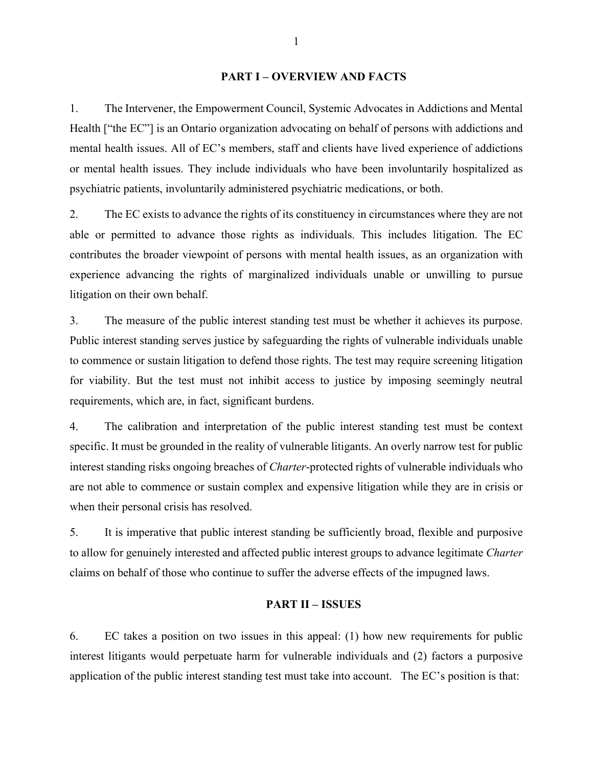#### **PART I – OVERVIEW AND FACTS**

1. The Intervener, the Empowerment Council, Systemic Advocates in Addictions and Mental Health ["the EC"] is an Ontario organization advocating on behalf of persons with addictions and mental health issues. All of EC's members, staff and clients have lived experience of addictions or mental health issues. They include individuals who have been involuntarily hospitalized as psychiatric patients, involuntarily administered psychiatric medications, or both.

2. The EC exists to advance the rights of its constituency in circumstances where they are not able or permitted to advance those rights as individuals. This includes litigation. The EC contributes the broader viewpoint of persons with mental health issues, as an organization with experience advancing the rights of marginalized individuals unable or unwilling to pursue litigation on their own behalf.

3. The measure of the public interest standing test must be whether it achieves its purpose. Public interest standing serves justice by safeguarding the rights of vulnerable individuals unable to commence or sustain litigation to defend those rights. The test may require screening litigation for viability. But the test must not inhibit access to justice by imposing seemingly neutral requirements, which are, in fact, significant burdens.

4. The calibration and interpretation of the public interest standing test must be context specific. It must be grounded in the reality of vulnerable litigants. An overly narrow test for public interest standing risks ongoing breaches of *Charter*-protected rights of vulnerable individuals who are not able to commence or sustain complex and expensive litigation while they are in crisis or when their personal crisis has resolved.

5. It is imperative that public interest standing be sufficiently broad, flexible and purposive to allow for genuinely interested and affected public interest groups to advance legitimate *Charter* claims on behalf of those who continue to suffer the adverse effects of the impugned laws.

#### **PART II – ISSUES**

6. EC takes a position on two issues in this appeal: (1) how new requirements for public interest litigants would perpetuate harm for vulnerable individuals and (2) factors a purposive application of the public interest standing test must take into account. The EC's position is that: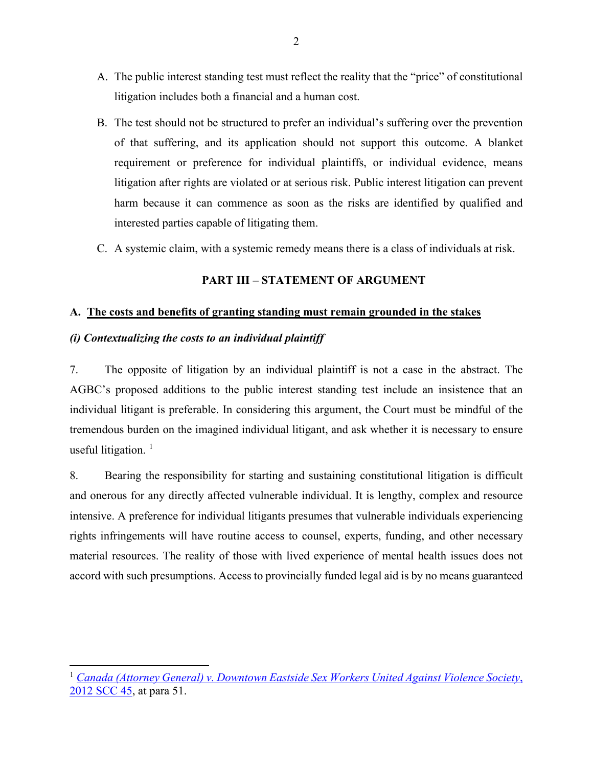- A. The public interest standing test must reflect the reality that the "price" of constitutional litigation includes both a financial and a human cost.
- B. The test should not be structured to prefer an individual's suffering over the prevention of that suffering, and its application should not support this outcome. A blanket requirement or preference for individual plaintiffs, or individual evidence, means litigation after rights are violated or at serious risk. Public interest litigation can prevent harm because it can commence as soon as the risks are identified by qualified and interested parties capable of litigating them.
- C. A systemic claim, with a systemic remedy means there is a class of individuals at risk.

#### **PART III – STATEMENT OF ARGUMENT**

#### **A. The costs and benefits of granting standing must remain grounded in the stakes**

#### *(i) Contextualizing the costs to an individual plaintiff*

7. The opposite of litigation by an individual plaintiff is not a case in the abstract. The AGBC's proposed additions to the public interest standing test include an insistence that an individual litigant is preferable. In considering this argument, the Court must be mindful of the tremendous burden on the imagined individual litigant, and ask whether it is necessary to ensure useful litigation.<sup>[1](#page-12-0)</sup>

8. Bearing the responsibility for starting and sustaining constitutional litigation is difficult and onerous for any directly affected vulnerable individual. It is lengthy, complex and resource intensive. A preference for individual litigants presumes that vulnerable individuals experiencing rights infringements will have routine access to counsel, experts, funding, and other necessary material resources. The reality of those with lived experience of mental health issues does not accord with such presumptions. Access to provincially funded legal aid is by no means guaranteed

<span id="page-12-0"></span><sup>1</sup> *[Canada \(Attorney General\) v. Downtown Eastside Sex Workers United Against Violence Society](https://canlii.ca/t/fss7s)*, [2012 SCC 45,](https://canlii.ca/t/fss7s) at para 51.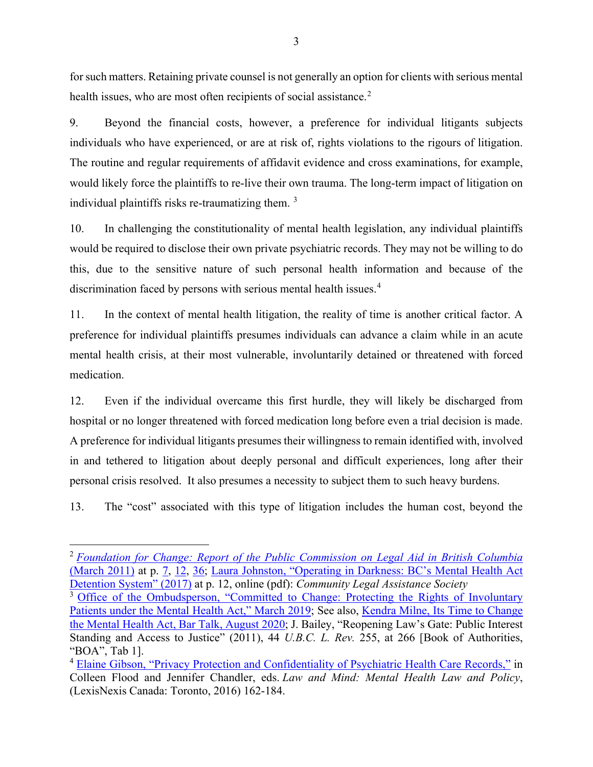for such matters. Retaining private counsel is not generally an option for clients with serious mental health issues, who are most often recipients of social assistance.<sup>[2](#page-13-0)</sup>

9. Beyond the financial costs, however, a preference for individual litigants subjects individuals who have experienced, or are at risk of, rights violations to the rigours of litigation. The routine and regular requirements of affidavit evidence and cross examinations, for example, would likely force the plaintiffs to re-live their own trauma. The long-term impact of litigation on individual plaintiffs risks re-traumatizing them.  $3\overline{ }$  $3\overline{ }$ 

10. In challenging the constitutionality of mental health legislation, any individual plaintiffs would be required to disclose their own private psychiatric records. They may not be willing to do this, due to the sensitive nature of such personal health information and because of the discrimination faced by persons with serious mental health issues.<sup>[4](#page-13-2)</sup>

11. In the context of mental health litigation, the reality of time is another critical factor. A preference for individual plaintiffs presumes individuals can advance a claim while in an acute mental health crisis, at their most vulnerable, involuntarily detained or threatened with forced medication.

12. Even if the individual overcame this first hurdle, they will likely be discharged from hospital or no longer threatened with forced medication long before even a trial decision is made. A preference for individual litigants presumes their willingness to remain identified with, involved in and tethered to litigation about deeply personal and difficult experiences, long after their personal crisis resolved. It also presumes a necessity to subject them to such heavy burdens.

13. The "cost" associated with this type of litigation includes the human cost, beyond the

<span id="page-13-0"></span><sup>2</sup> *[Foundation for Change: Report of the Public Commission on Legal Aid in British Columbia](https://s3.amazonaws.com/tld-documents.llnassets.com/0007000/7534/pcla_report_03_08_11.pdf)* [\(March 2011\)](https://s3.amazonaws.com/tld-documents.llnassets.com/0007000/7534/pcla_report_03_08_11.pdf) at p. [7,](https://s3.amazonaws.com/tld-documents.llnassets.com/0007000/7534/pcla_report_03_08_11.pdf) [12,](https://s3.amazonaws.com/tld-documents.llnassets.com/0007000/7534/pcla_report_03_08_11.pdf#page=12) [36;](https://s3.amazonaws.com/tld-documents.llnassets.com/0007000/7534/pcla_report_03_08_11.pdf#page=36) [Laura Johnston, "Operating in Darkness: BC's Mental Health Act](https://d3n8a8pro7vhmx.cloudfront.net/clastest/pages/1794/attachments/original/1527278723/CLAS_Operating_in_Darkness_November_2017.pdf?1527278723)  [Detention System" \(2017\)](https://d3n8a8pro7vhmx.cloudfront.net/clastest/pages/1794/attachments/original/1527278723/CLAS_Operating_in_Darkness_November_2017.pdf?1527278723) at p. 12, online (pdf): *Community Legal Assistance Society*

<span id="page-13-1"></span><sup>&</sup>lt;sup>3</sup> Office of the Ombudsperson, "Committed to Change: Protecting the Rights of Involuntary [Patients under the Mental Health Act," March 2019;](https://bcombudsperson.ca/assets/media/OMB-Committed-to-Change-FINAL-web.pdf) See also, [Kendra Milne, Its Time to Change](https://www.cbabc.org/BarTalk/Articles/2020/August/Columns/It%E2%80%99s-Time-to-Change-BC%E2%80%99s-em-Mental-Health-Act-em)  [the Mental Health Act, Bar Talk, August 2020;](https://www.cbabc.org/BarTalk/Articles/2020/August/Columns/It%E2%80%99s-Time-to-Change-BC%E2%80%99s-em-Mental-Health-Act-em) J. Bailey, "Reopening Law's Gate: Public Interest Standing and Access to Justice" (2011), 44 *U.B.C. L. Rev.* 255, at 266 [Book of Authorities, "BOA", Tab 1].

<span id="page-13-2"></span><sup>&</sup>lt;sup>4</sup> [Elaine Gibson, "Privacy Protection and Confidentiality of Psychiatric Health Care Records,"](https://cdn.dal.ca/content/dam/dalhousie/pdf/law/Events/2.%20Psychiatric%20Health%20Care%20Records.pdf) in Colleen Flood and Jennifer Chandler, eds. *Law and Mind: Mental Health Law and Policy*, (LexisNexis Canada: Toronto, 2016) 162-184.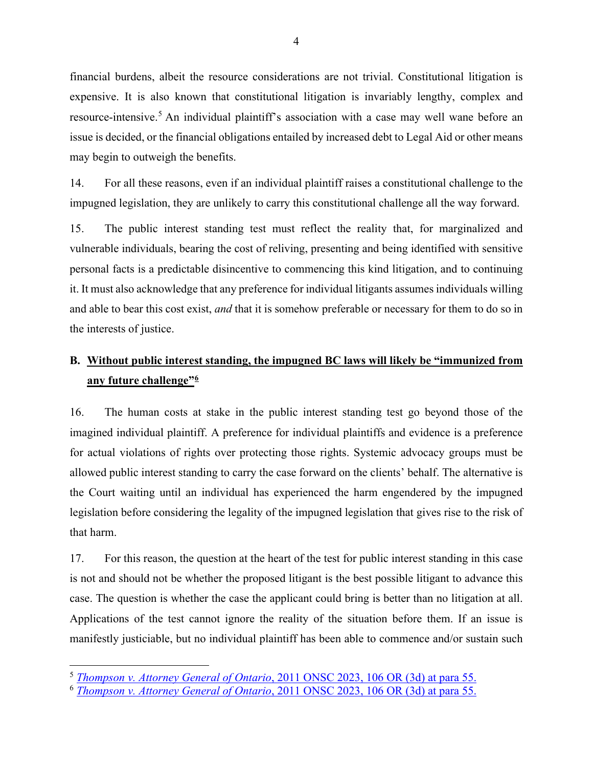financial burdens, albeit the resource considerations are not trivial. Constitutional litigation is expensive. It is also known that constitutional litigation is invariably lengthy, complex and resource-intensive.<sup>[5](#page-14-0)</sup> An individual plaintiff's association with a case may well wane before an issue is decided, or the financial obligations entailed by increased debt to Legal Aid or other means may begin to outweigh the benefits.

14. For all these reasons, even if an individual plaintiff raises a constitutional challenge to the impugned legislation, they are unlikely to carry this constitutional challenge all the way forward.

15. The public interest standing test must reflect the reality that, for marginalized and vulnerable individuals, bearing the cost of reliving, presenting and being identified with sensitive personal facts is a predictable disincentive to commencing this kind litigation, and to continuing it. It must also acknowledge that any preference for individual litigants assumes individuals willing and able to bear this cost exist, *and* that it is somehow preferable or necessary for them to do so in the interests of justice.

# **B. Without public interest standing, the impugned BC laws will likely be "immunized from any future challenge"[6](#page-14-1)**

16. The human costs at stake in the public interest standing test go beyond those of the imagined individual plaintiff. A preference for individual plaintiffs and evidence is a preference for actual violations of rights over protecting those rights. Systemic advocacy groups must be allowed public interest standing to carry the case forward on the clients' behalf. The alternative is the Court waiting until an individual has experienced the harm engendered by the impugned legislation before considering the legality of the impugned legislation that gives rise to the risk of that harm.

17. For this reason, the question at the heart of the test for public interest standing in this case is not and should not be whether the proposed litigant is the best possible litigant to advance this case. The question is whether the case the applicant could bring is better than no litigation at all. Applications of the test cannot ignore the reality of the situation before them. If an issue is manifestly justiciable, but no individual plaintiff has been able to commence and/or sustain such

<span id="page-14-0"></span><sup>5</sup> *Thompson v. Attorney General of Ontario*[, 2011 ONSC 2023, 106 OR \(3d\) at para 55.](https://canlii.ca/t/fktn1) 

<span id="page-14-1"></span><sup>6</sup> *Thompson v. Attorney General of Ontario*[, 2011 ONSC 2023, 106 OR \(3d\) at para 55.](https://canlii.ca/t/fktn1)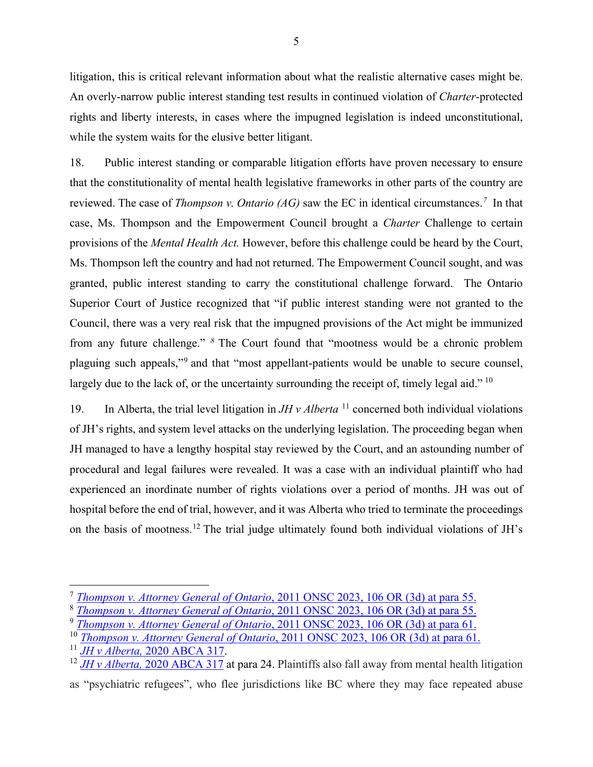litigation, this is critical relevant information about what the realistic alternative cases might be. An overly-narrow public interest standing test results in continued violation of *Charter*-protected rights and liberty interests, in cases where the impugned legislation is indeed unconstitutional, while the system waits for the elusive better litigant.

18. Public interest standing or comparable litigation efforts have proven necessary to ensure that the constitutionality of mental health legislative frameworks in other parts of the country are reviewed. The case of *Thompson v. Ontario (AG)* saw the EC in identical circumstances.*[7](#page-15-0)* In that case, Ms. Thompson and the Empowerment Council brought a *Charter* Challenge to certain provisions of the *Mental Health Act.* However, before this challenge could be heard by the Court, Ms. Thompson left the country and had not returned. The Empowerment Council sought, and was granted, public interest standing to carry the constitutional challenge forward. The Ontario Superior Court of Justice recognized that "if public interest standing were not granted to the Council, there was a very real risk that the impugned provisions of the Act might be immunized from any future challenge." *[8](#page-15-1)* The Court found that "mootness would be a chronic problem plaguing such appeals,"[9](#page-15-2) and that "most appellant-patients would be unable to secure counsel, largely due to the lack of, or the uncertainty surrounding the receipt of, timely legal aid."<sup>10</sup>

19. In Alberta, the trial level litigation in *JH v Alberta* [11](#page-15-4) concerned both individual violations of JH's rights, and system level attacks on the underlying legislation. The proceeding began when JH managed to have a lengthy hospital stay reviewed by the Court, and an astounding number of procedural and legal failures were revealed. It was a case with an individual plaintiff who had experienced an inordinate number of rights violations over a period of months. JH was out of hospital before the end of trial, however, and it was Alberta who tried to terminate the proceedings on the basis of mootness.[12](#page-15-5) The trial judge ultimately found both individual violations of JH's

<span id="page-15-0"></span><sup>7</sup> *Thompson v. Attorney General of Ontario*[, 2011 ONSC 2023, 106 OR \(3d\) at para 55.](https://canlii.ca/t/fktn1) 

<span id="page-15-1"></span><sup>8</sup> *Thompson v. Attorney General of Ontario*[, 2011 ONSC 2023, 106 OR \(3d\) at para 55.](https://canlii.ca/t/fktn1) 

<span id="page-15-2"></span><sup>9</sup> *Thompson v. Attorney General of Ontario*[, 2011 ONSC 2023, 106 OR \(3d\) at para 61.](https://canlii.ca/t/fktn1) 

<span id="page-15-3"></span><sup>10</sup> *Thompson v. Attorney General of Ontario*[, 2011 ONSC 2023, 106 OR \(3d\) at para 61.](https://canlii.ca/t/fktn1) 

<span id="page-15-4"></span><sup>11</sup> *[JH v Alberta,](https://canlii.ca/t/j9lv5)* 2020 ABCA 317.

<span id="page-15-5"></span><sup>&</sup>lt;sup>12</sup> *JH v Alberta,* [2020 ABCA 317](https://canlii.ca/t/j9lv5) at para 24. Plaintiffs also fall away from mental health litigation as "psychiatric refugees", who flee jurisdictions like BC where they may face repeated abuse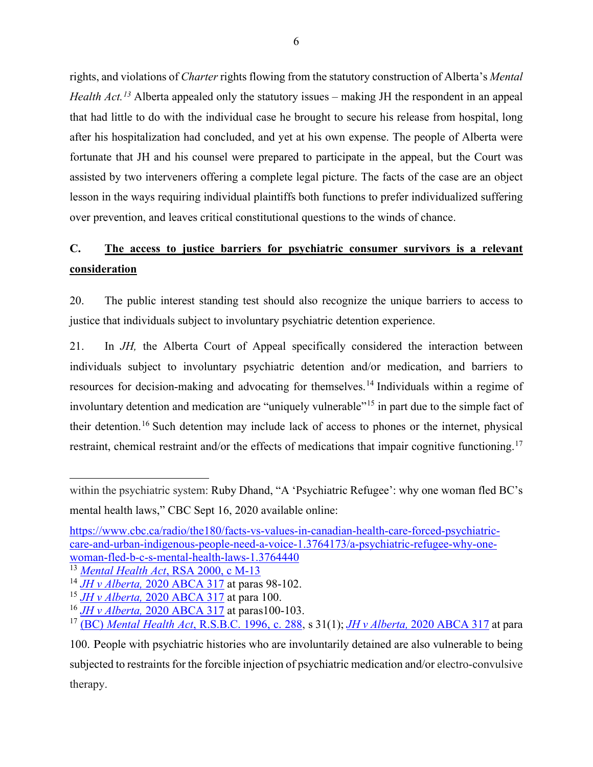rights, and violations of *Charter* rights flowing from the statutory construction of Alberta's *Mental Health Act.*<sup>[13](#page-16-0)</sup> Alberta appealed only the statutory issues – making JH the respondent in an appeal that had little to do with the individual case he brought to secure his release from hospital, long after his hospitalization had concluded, and yet at his own expense. The people of Alberta were fortunate that JH and his counsel were prepared to participate in the appeal, but the Court was assisted by two interveners offering a complete legal picture. The facts of the case are an object lesson in the ways requiring individual plaintiffs both functions to prefer individualized suffering over prevention, and leaves critical constitutional questions to the winds of chance.

# **C. The access to justice barriers for psychiatric consumer survivors is a relevant consideration**

20. The public interest standing test should also recognize the unique barriers to access to justice that individuals subject to involuntary psychiatric detention experience.

21. In *JH,* the Alberta Court of Appeal specifically considered the interaction between individuals subject to involuntary psychiatric detention and/or medication, and barriers to resources for decision-making and advocating for themselves.<sup>[14](#page-16-1)</sup> Individuals within a regime of involuntary detention and medication are "uniquely vulnerable"[15](#page-16-2) in part due to the simple fact of their detention.[16](#page-16-3) Such detention may include lack of access to phones or the internet, physical restraint, chemical restraint and/or the effects of medications that impair cognitive functioning.<sup>[17](#page-16-4)</sup>

within the psychiatric system: Ruby Dhand, "A 'Psychiatric Refugee': why one woman fled BC's mental health laws," CBC Sept 16, 2020 available online:

[https://www.cbc.ca/radio/the180/facts-vs-values-in-canadian-health-care-forced-psychiatric](https://www.cbc.ca/radio/the180/facts-vs-values-in-canadian-health-care-forced-psychiatric-care-and-urban-indigenous-people-need-a-voice-1.3764173/a-psychiatric-refugee-why-one-woman-fled-b-c-s-mental-health-laws-1.3764440)[care-and-urban-indigenous-people-need-a-voice-1.3764173/a-psychiatric-refugee-why-one](https://www.cbc.ca/radio/the180/facts-vs-values-in-canadian-health-care-forced-psychiatric-care-and-urban-indigenous-people-need-a-voice-1.3764173/a-psychiatric-refugee-why-one-woman-fled-b-c-s-mental-health-laws-1.3764440)[woman-fled-b-c-s-mental-health-laws-1.3764440](https://www.cbc.ca/radio/the180/facts-vs-values-in-canadian-health-care-forced-psychiatric-care-and-urban-indigenous-people-need-a-voice-1.3764173/a-psychiatric-refugee-why-one-woman-fled-b-c-s-mental-health-laws-1.3764440)

<span id="page-16-0"></span><sup>13</sup> *Mental Health Act*[, RSA 2000, c M-13](https://canlii.ca/t/5542j)

<span id="page-16-1"></span><sup>14</sup> *JH v Alberta,* [2020 ABCA 317](https://canlii.ca/t/j9lv5) at paras 98-102.

<span id="page-16-2"></span><sup>15</sup> *JH v Alberta,* [2020 ABCA 317](https://canlii.ca/t/j9lv5) at para 100.

<span id="page-16-3"></span><sup>16</sup> *JH v Alberta,* [2020 ABCA 317](https://canlii.ca/t/j9lv5) at paras100-103.

<span id="page-16-4"></span><sup>17</sup> (BC) *Mental Health Act*, [R.S.B.C.](https://canlii.ca/t/846j#sec31) 1996, c. 288, s 31(1); *JH v Alberta,* [2020 ABCA 317](https://canlii.ca/t/j9lv5) at para

<sup>100.</sup> People with psychiatric histories who are involuntarily detained are also vulnerable to being subjected to restraints for the forcible injection of psychiatric medication and/or electro-convulsive therapy.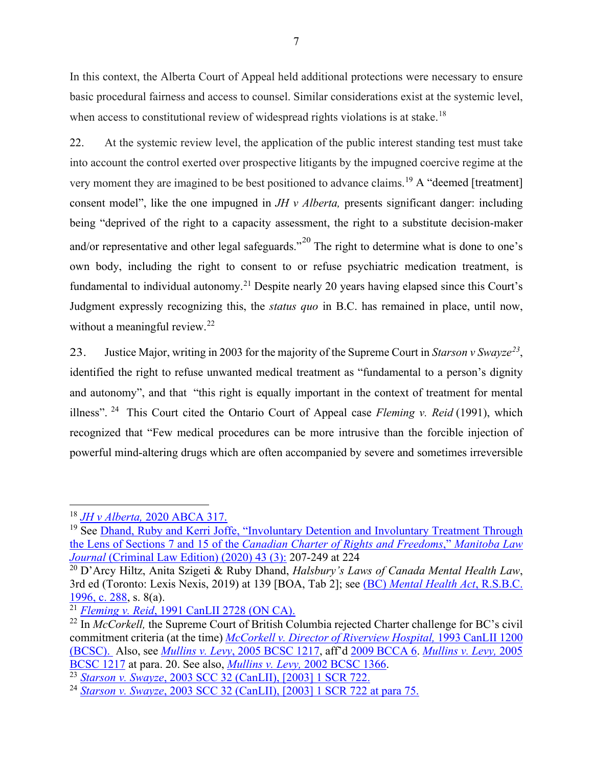In this context, the Alberta Court of Appeal held additional protections were necessary to ensure basic procedural fairness and access to counsel. Similar considerations exist at the systemic level, when access to constitutional review of widespread rights violations is at stake.<sup>[18](#page-17-0)</sup>

22. At the systemic review level, the application of the public interest standing test must take into account the control exerted over prospective litigants by the impugned coercive regime at the very moment they are imagined to be best positioned to advance claims.<sup>19</sup> A "deemed [treatment] consent model", like the one impugned in *JH v Alberta,* presents significant danger: including being "deprived of the right to a capacity assessment, the right to a substitute decision-maker and/or representative and other legal safeguards."<sup>[20](#page-17-2)</sup> The right to determine what is done to one's own body, including the right to consent to or refuse psychiatric medication treatment, is fundamental to individual autonomy.<sup>[21](#page-17-3)</sup> Despite nearly 20 years having elapsed since this Court's Judgment expressly recognizing this, the *status quo* in B.C. has remained in place, until now, without a meaningful review.<sup>[22](#page-17-4)</sup>

23. Justice Major, writing in 2003 for the majority of the Supreme Court in *Starson v Swayze[23](#page-17-5)*, identified the right to refuse unwanted medical treatment as "fundamental to a person's dignity and autonomy", and that "this right is equally important in the context of treatment for mental illness". [24](#page-17-6) This Court cited the Ontario Court of Appeal case *Fleming v. Reid* (1991), which recognized that "Few medical procedures can be more intrusive than the forcible injection of powerful mind-altering drugs which are often accompanied by severe and sometimes irreversible

<span id="page-17-0"></span><sup>18</sup> *JH v Alberta,* [2020 ABCA 317.](https://canlii.ca/t/j9lv5)

<span id="page-17-1"></span><sup>&</sup>lt;sup>19</sup> See Dhand, Ruby and Kerri Joffe, "Involuntary Detention and Involuntary Treatment Through the Lens of Sections 7 and 15 of the *[Canadian Charter of Rights and Freedoms](https://www.canlii.org/en/commentary/doc/2020CanLIIDocs2561#!fragment/zoupio-_Tocpdf_bk_1/BQCwhgziBcwMYgK4DsDWszIQewE4BUBTADwBdoAvbRABwEtsBaAfX2zhoBMAzZgI1TMAjAEoANMmylCEAIqJCuAJ7QA5KrERCYXAnmKV6zdt0gAynlIAhFQCUAogBl7ANQCCAOQDC9saTB80KTsIiJAA)*," *Manitoba Law Journal* [\(Criminal Law Edition\) \(2020\) 43 \(3\):](https://www.canlii.org/en/commentary/doc/2020CanLIIDocs2561#!fragment/zoupio-_Tocpdf_bk_1/BQCwhgziBcwMYgK4DsDWszIQewE4BUBTADwBdoAvbRABwEtsBaAfX2zhoBMAzZgI1TMAjAEoANMmylCEAIqJCuAJ7QA5KrERCYXAnmKV6zdt0gAynlIAhFQCUAogBl7ANQCCAOQDC9saTB80KTsIiJAA) 207-249 at 224

<span id="page-17-2"></span><sup>20</sup> D'Arcy Hiltz, Anita Szigeti & Ruby Dhand, *Halsbury's Laws of Canada Mental Health Law*, 3rd ed (Toronto: Lexis Nexis, 2019) at 139 [BOA, Tab 2]; see (BC) *[Mental Health Act](https://canlii.ca/t/53h8w)*, R.S.B.C. [1996, c. 288,](https://canlii.ca/t/53h8w) s. 8(a).

<span id="page-17-3"></span><sup>21</sup> *Fleming v. Reid*[, 1991 CanLII 2728 \(ON CA\).](https://canlii.ca/t/1p78q) 

<span id="page-17-4"></span><sup>&</sup>lt;sup>22</sup> In *McCorkell,* the Supreme Court of British Columbia rejected Charter challenge for BC's civil commitment criteria (at the time) *McCorkell v. Director of Riverview Hospital*, 1993 CanLII 1200 [\(BCSC\).](https://canlii.ca/t/1dk2g) Also, see *Mullins v. Levy*[, 2005 BCSC 1217,](https://canlii.ca/t/1lhcr) aff'd [2009 BCCA 6.](https://canlii.ca/t/223s1) *[Mullins v. Levy,](https://canlii.ca/t/1lhcr)* 2005

<span id="page-17-5"></span><sup>&</sup>lt;sup>23</sup> Starson v. Swayze, 2003 SCC 32 (CanLII), [2003] 1 SCR 722.

<span id="page-17-6"></span><sup>24</sup> *Starson v. Swayze*[, 2003 SCC 32 \(CanLII\), \[2003\] 1 SCR 722](https://canlii.ca/t/1g6p9) at para 75.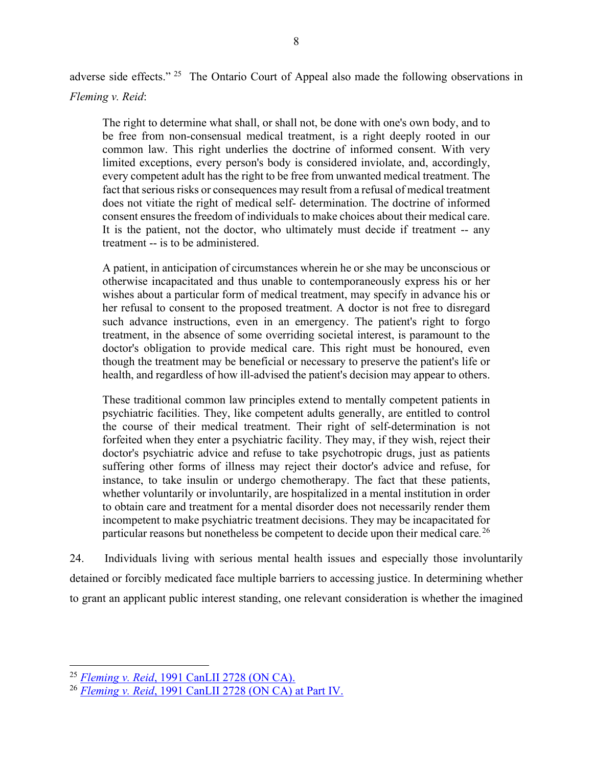adverse side effects." <sup>25</sup> The Ontario Court of Appeal also made the following observations in *Fleming v. Reid*:

The right to determine what shall, or shall not, be done with one's own body, and to be free from non-consensual medical treatment, is a right deeply rooted in our common law. This right underlies the doctrine of informed consent. With very limited exceptions, every person's body is considered inviolate, and, accordingly, every competent adult has the right to be free from unwanted medical treatment. The fact that serious risks or consequences may result from a refusal of medical treatment does not vitiate the right of medical self- determination. The doctrine of informed consent ensures the freedom of individuals to make choices about their medical care. It is the patient, not the doctor, who ultimately must decide if treatment -- any treatment -- is to be administered.

A patient, in anticipation of circumstances wherein he or she may be unconscious or otherwise incapacitated and thus unable to contemporaneously express his or her wishes about a particular form of medical treatment, may specify in advance his or her refusal to consent to the proposed treatment. A doctor is not free to disregard such advance instructions, even in an emergency. The patient's right to forgo treatment, in the absence of some overriding societal interest, is paramount to the doctor's obligation to provide medical care. This right must be honoured, even though the treatment may be beneficial or necessary to preserve the patient's life or health, and regardless of how ill-advised the patient's decision may appear to others.

These traditional common law principles extend to mentally competent patients in psychiatric facilities. They, like competent adults generally, are entitled to control the course of their medical treatment. Their right of self-determination is not forfeited when they enter a psychiatric facility. They may, if they wish, reject their doctor's psychiatric advice and refuse to take psychotropic drugs, just as patients suffering other forms of illness may reject their doctor's advice and refuse, for instance, to take insulin or undergo chemotherapy. The fact that these patients, whether voluntarily or involuntarily, are hospitalized in a mental institution in order to obtain care and treatment for a mental disorder does not necessarily render them incompetent to make psychiatric treatment decisions. They may be incapacitated for particular reasons but nonetheless be competent to decide upon their medical care*.* [26](#page-18-1)

24. Individuals living with serious mental health issues and especially those involuntarily detained or forcibly medicated face multiple barriers to accessing justice. In determining whether to grant an applicant public interest standing, one relevant consideration is whether the imagined

<span id="page-18-1"></span><span id="page-18-0"></span><sup>25</sup> *Fleming v. Reid*[, 1991 CanLII 2728 \(ON CA\).](https://canlii.ca/t/1p78q) 26 *Fleming v. Reid*[, 1991 CanLII 2728 \(ON CA\) at Part IV.](https://canlii.ca/t/1p78q)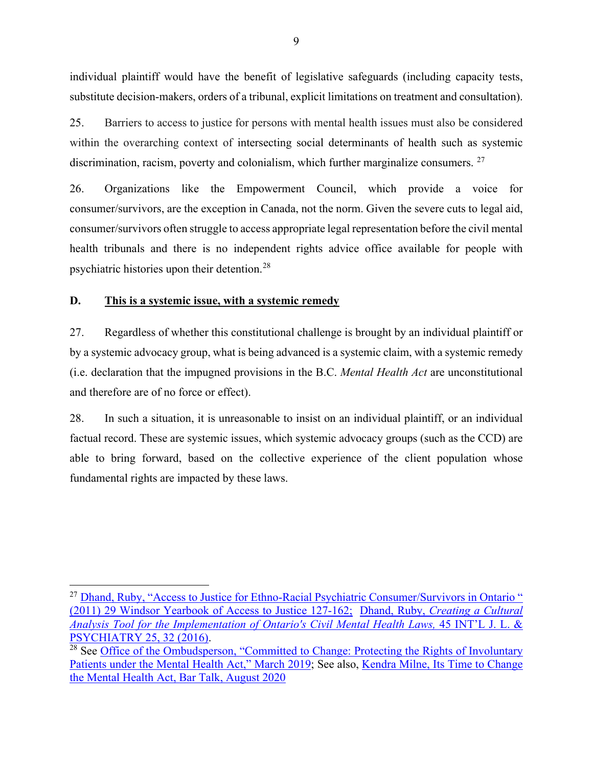individual plaintiff would have the benefit of legislative safeguards (including capacity tests, substitute decision-makers, orders of a tribunal, explicit limitations on treatment and consultation).

25. Barriers to access to justice for persons with mental health issues must also be considered within the overarching context of intersecting social determinants of health such as systemic discrimination, racism, poverty and colonialism, which further marginalize consumers.  $27$ 

26. Organizations like the Empowerment Council, which provide a voice for consumer/survivors, are the exception in Canada, not the norm. Given the severe cuts to legal aid, consumer/survivors often struggle to access appropriate legal representation before the civil mental health tribunals and there is no independent rights advice office available for people with psychiatric histories upon their detention.[28](#page-19-1)

#### **D. This is a systemic issue, with a systemic remedy**

27. Regardless of whether this constitutional challenge is brought by an individual plaintiff or by a systemic advocacy group, what is being advanced is a systemic claim, with a systemic remedy (i.e. declaration that the impugned provisions in the B.C. *Mental Health Act* are unconstitutional and therefore are of no force or effect).

28. In such a situation, it is unreasonable to insist on an individual plaintiff, or an individual factual record. These are systemic issues, which systemic advocacy groups (such as the CCD) are able to bring forward, based on the collective experience of the client population whose fundamental rights are impacted by these laws.

<span id="page-19-0"></span><sup>&</sup>lt;sup>27</sup> Dhand, Ruby, "Access to Justice for Ethno-Racial Psychiatric Consumer/Survivors in Ontario " [\(2011\) 29 Windsor Yearbook of Access to Justice 127-162;](https://poseidon01.ssrn.com/delivery.php?ID=253020073123122001112085104029013028059064002079017045002024010027112069127012004078097103011016022127108107074125094126124125117039004050076087100108101065110067004080007024101118084085112003000092078090096123121113110024015101087095027113123083081&EXT=pdf&INDEX=TRUE) Dhand, Ruby, *[Creating a Cultural](https://www.sciencedirect.com/science/article/abs/pii/S0160252716300139?via%3Dihub)*  [Analysis Tool for the Implementation of Ontario's Civil Mental Health Laws,](https://www.sciencedirect.com/science/article/abs/pii/S0160252716300139?via%3Dihub) 45 INT'L J. L. & [PSYCHIATRY 25, 32 \(2016\).](https://www.sciencedirect.com/science/article/abs/pii/S0160252716300139?via%3Dihub)<br><sup>28</sup> See Office of the Ombudsperson, "Committed to Change: Protecting the Rights of Involuntary

<span id="page-19-1"></span>[Patients under the Mental Health Act," March 2019;](https://bcombudsperson.ca/assets/media/OMB-Committed-to-Change-FINAL-web.pdf) See also, Kendra Milne, Its Time to Change [the Mental Health Act, Bar Talk, August 2020](https://www.cbabc.org/BarTalk/Articles/2020/August/Columns/It%E2%80%99s-Time-to-Change-BC%E2%80%99s-em-Mental-Health-Act-em)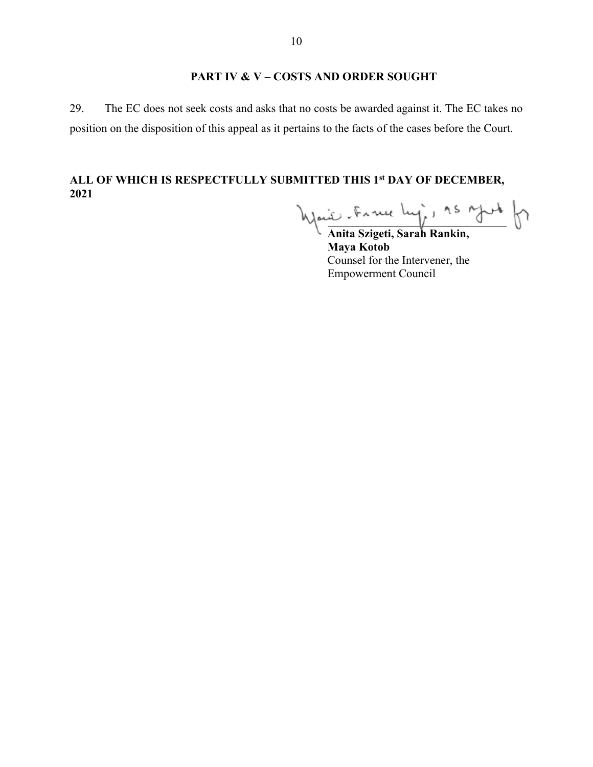#### **PART IV & V – COSTS AND ORDER SOUGHT**

29. The EC does not seek costs and asks that no costs be awarded against it. The EC takes no position on the disposition of this appeal as it pertains to the facts of the cases before the Court.

## **ALL OF WHICH IS RESPECTFULLY SUBMITTED THIS 1 st DAY OF DECEMBER, 2021**

 $\int$ 

**Anita Szigeti, Sarah Rankin, Maya Kotob**  Counsel for the Intervener, the Empowerment Council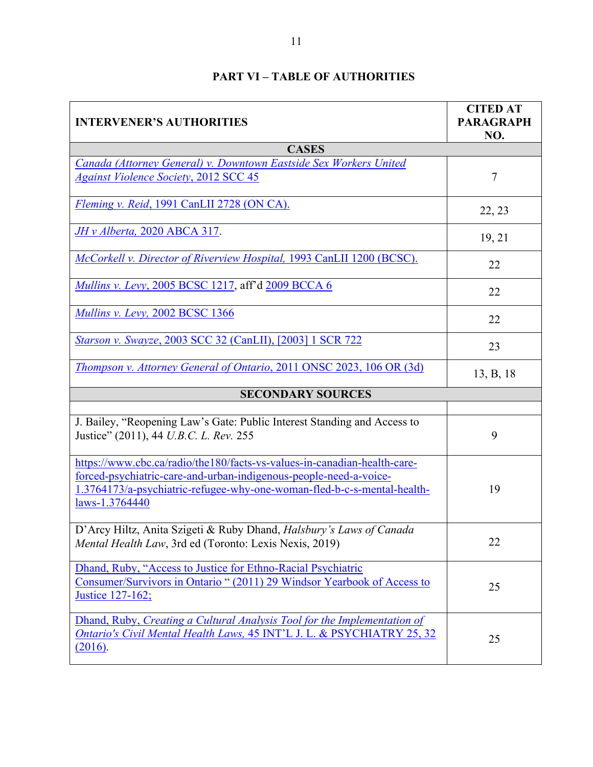| <b>INTERVENER'S AUTHORITIES</b>                                                                                                                                                                                                            | <b>CITED AT</b><br><b>PARAGRAPH</b><br>NO. |  |
|--------------------------------------------------------------------------------------------------------------------------------------------------------------------------------------------------------------------------------------------|--------------------------------------------|--|
| <b>CASES</b>                                                                                                                                                                                                                               |                                            |  |
| Canada (Attorney General) v. Downtown Eastside Sex Workers United<br><b>Against Violence Society, 2012 SCC 45</b>                                                                                                                          | $\overline{7}$                             |  |
| Fleming v. Reid, 1991 CanLII 2728 (ON CA).                                                                                                                                                                                                 | 22, 23                                     |  |
| JH v Alberta, 2020 ABCA 317.                                                                                                                                                                                                               | 19, 21                                     |  |
| McCorkell v. Director of Riverview Hospital, 1993 CanLII 1200 (BCSC).                                                                                                                                                                      | 22                                         |  |
| Mullins v. Levy, 2005 BCSC 1217, aff'd 2009 BCCA 6                                                                                                                                                                                         | 22                                         |  |
| Mullins v. Levy, 2002 BCSC 1366                                                                                                                                                                                                            | 22                                         |  |
| Starson v. Swayze, 2003 SCC 32 (CanLII), [2003] 1 SCR 722                                                                                                                                                                                  | 23                                         |  |
| Thompson v. Attorney General of Ontario, 2011 ONSC 2023, 106 OR (3d)                                                                                                                                                                       | 13, B, 18                                  |  |
| <b>SECONDARY SOURCES</b>                                                                                                                                                                                                                   |                                            |  |
|                                                                                                                                                                                                                                            |                                            |  |
| J. Bailey, "Reopening Law's Gate: Public Interest Standing and Access to<br>Justice" (2011), 44 U.B.C. L. Rev. 255                                                                                                                         | 9                                          |  |
| https://www.cbc.ca/radio/the180/facts-vs-values-in-canadian-health-care-<br>forced-psychiatric-care-and-urban-indigenous-people-need-a-voice-<br>1.3764173/a-psychiatric-refugee-why-one-woman-fled-b-c-s-mental-health-<br>laws-1.3764440 | 19                                         |  |
| D'Arcy Hiltz, Anita Szigeti & Ruby Dhand, Halsbury's Laws of Canada<br>Mental Health Law, 3rd ed (Toronto: Lexis Nexis, 2019)                                                                                                              | 22                                         |  |
| Dhand, Ruby, "Access to Justice for Ethno-Racial Psychiatric<br>Consumer/Survivors in Ontario " (2011) 29 Windsor Yearbook of Access to<br>Justice 127-162;                                                                                | 25                                         |  |
| Dhand, Ruby, Creating a Cultural Analysis Tool for the Implementation of<br><b>Ontario's Civil Mental Health Laws, 45 INT'L J. L. &amp; PSYCHIATRY 25, 32</b><br>(2016).                                                                   | 25                                         |  |

# **PART VI – TABLE OF AUTHORITIES**